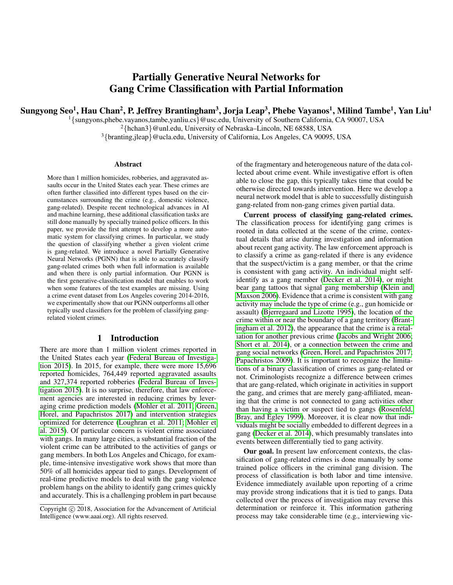# Partially Generative Neural Networks for Gang Crime Classification with Partial Information

<span id="page-0-0"></span>Sungyong Seo $^1$ , Hau Chan $^2$ , P. Jeffrey Brantingham $^3$ , Jorja Leap $^3$ , Phebe Vayanos $^1$ , Milind Tambe $^1$ , Yan Liu $^1$ 

<sup>1</sup>{sungyons,phebe.vayanos,tambe,yanliu.cs}@usc.edu, University of Southern California, CA 90007, USA

 $^{2}$ {hchan3}@unl.edu, University of Nebraska–Lincoln, NE 68588, USA

 $3$ {branting,jleap}@ucla.edu, University of California, Los Angeles, CA 90095, USA

#### Abstract

More than 1 million homicides, robberies, and aggravated assaults occur in the United States each year. These crimes are often further classified into different types based on the circumstances surrounding the crime (e.g., domestic violence, gang-related). Despite recent technological advances in AI and machine learning, these additional classification tasks are still done manually by specially trained police officers. In this paper, we provide the first attempt to develop a more automatic system for classifying crimes. In particular, we study the question of classifying whether a given violent crime is gang-related. We introduce a novel Partially Generative Neural Networks (PGNN) that is able to accurately classify gang-related crimes both when full information is available and when there is only partial information. Our PGNN is the first generative-classification model that enables to work when some features of the test examples are missing. Using a crime event dataset from Los Angeles covering 2014-2016, we experimentally show that our PGNN outperforms all other typically used classifiers for the problem of classifying gangrelated violent crimes.

# 1 Introduction

There are more than 1 million violent crimes reported in the United States each year [\(Federal Bureau of Investiga](#page-6-0)[tion 2015\)](#page-6-0). In 2015, for example, there were more 15,696 reported homicides, 764,449 reported aggravated assaults and 327,374 reported robberies [\(Federal Bureau of Inves](#page-6-0)[tigation 2015\)](#page-6-0). It is no surprise, therefore, that law enforcement agencies are interested in reducing crimes by leveraging crime prediction models [\(Mohler et al. 2011;](#page-6-1) [Green,](#page-6-2) [Horel, and Papachristos 2017\)](#page-6-2) and intervention strategies optimized for deterrence [\(Loughran et al. 2011;](#page-6-3) [Mohler et](#page-6-4) [al. 2015\)](#page-6-4). Of particular concern is violent crime associated with gangs. In many large cities, a substantial fraction of the violent crime can be attributed to the activities of gangs or gang members. In both Los Angeles and Chicago, for example, time-intensive investigative work shows that more than 50% of all homicides appear tied to gangs. Development of real-time predictive models to deal with the gang violence problem hangs on the ability to identify gang crimes quickly and accurately. This is a challenging problem in part because

of the fragmentary and heterogeneous nature of the data collected about crime event. While investigative effort is often able to close the gap, this typically takes time that could be otherwise directed towards intervention. Here we develop a neural network model that is able to successfully distinguish gang-related from non-gang crimes given partial data.

Current process of classifying gang-related crimes. The classification process for identifying gang crimes is rooted in data collected at the scene of the crime, contextual details that arise during investigation and information about recent gang activity. The law enforcement approach is to classify a crime as gang-related if there is any evidence that the suspect/victim is a gang member, or that the crime is consistent with gang activity. An individual might selfidentify as a gang member [\(Decker et al. 2014\)](#page-6-5), or might bear gang tattoos that signal gang membership [\(Klein and](#page-6-6) [Maxson 2006\)](#page-6-6). Evidence that a crime is consistent with gang activity may include the type of crime (e.g., gun homicide or assault) [\(Bjerregaard and Lizotte 1995\)](#page-6-7), the location of the crime within or near the boundary of a gang territory [\(Brant](#page-6-8)[ingham et al. 2012\)](#page-6-8), the appearance that the crime is a retaliation for another previous crime [\(Jacobs and Wright 2006;](#page-6-9) [Short et al. 2014\)](#page-6-10), or a connection between the crime and gang social networks [\(Green, Horel, and Papachristos 2017;](#page-6-2) [Papachristos 2009\)](#page-6-11). It is important to recognize the limitations of a binary classification of crimes as gang-related or not. Criminologists recognize a difference between crimes that are gang-related, which originate in activities in support the gang, and crimes that are merely gang-affiliated, meaning that the crime is not connected to gang activities other than having a victim or suspect tied to gangs [\(Rosenfeld,](#page-6-12) [Bray, and Egley 1999\)](#page-6-12). Moreover, it is clear now that individuals might be socially embedded to different degrees in a gang [\(Decker et al. 2014\)](#page-6-5), which presumably translates into events between differentially tied to gang activity.

Our goal. In present law enforcement contexts, the classification of gang-related crimes is done manually by some trained police officers in the criminal gang division. The process of classification is both labor and time intensive. Evidence immediately available upon reporting of a crime may provide strong indications that it is tied to gangs. Data collected over the process of investigation may reverse this determination or reinforce it. This information gathering process may take considerable time (e.g., interviewing vic-

Copyright (c) 2018, Association for the Advancement of Artificial Intelligence (www.aaai.org). All rights reserved.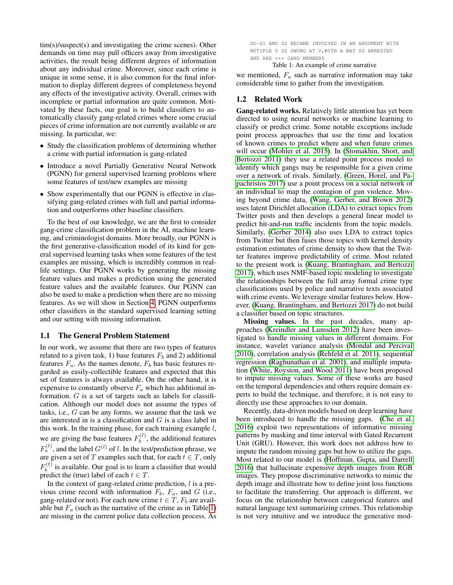<span id="page-1-1"></span>tim(s)/suspect(s) and investigating the crime scenes). Other demands on time may pull officers away from investigative activities, the result being different degrees of information about any individual crime. Moreover, since each crime is unique in some sense, it is also common for the final information to display different degrees of completeness beyond any effects of the investigative activity. Overall, crimes with incomplete or partial information are quite common. Motivated by these facts, our goal is to build classifiers to automatically classify gang-related crimes where some crucial pieces of crime information are not currently available or are missing. In particular, we:

- Study the classification problems of determining whether a crime with partial information is gang-related
- Introduce a novel Partially Generative Neural Network (PGNN) for general supervised learning problems where some features of test/new examples are missing
- Show experimentally that our PGNN is effective in classifying gang-related crimes with full and partial information and outperforms other baseline classifiers.

To the best of our knowledge, we are the first to consider gang-crime classification problem in the AI, machine learning, and criminologist domains. More broadly, our PGNN is the first generative-classification model of its kind for general supervised learning tasks when some features of the test examples are missing, which is incredibly common in reallife settings. Our PGNN works by generating the missing feature values and makes a prediction using the generated feature values and the available features. Our PGNN can also be used to make a prediction when there are no missing features. As we will show in Section [4,](#page-4-0) PGNN outperforms other classifiers in the standard supervised learning setting and our setting with missing information.

#### 1.1 The General Problem Statement

In our work, we assume that there are two types of features related to a given task, 1) base features  $F_b$  and 2) additional features  $F_a$ . As the names denote,  $F_b$  has basic features regarded as easily-collectible features and expected that this set of features is always available. On the other hand, it is expensive to constantly observe  $F_a$  which has additional information. G is a set of targets such as labels for classification. Although our model does not assume the types of tasks, i.e., G can be any forms, we assume that the task we are interested in is a classification and  $G$  is a class label in this work. In the training phase, for each training example  $l$ , we are giving the base features  $F_h^{(l)}$  $b^{(t)}$ , the additional features  $F_a^{(l)}$ , and the label  $G^{(l)}$  of l. In the test/prediction phrase, we are given a set of T examples such that, for each  $t \in T$ , only  $F_h^{(t)}$  $b<sub>b</sub>$  is available. Our goal is to learn a classifier that would predict the (true) label of each  $t \in T$ .

In the context of gang-related crime prediction,  $l$  is a previous crime record with information  $F_b$ ,  $F_a$ , and G (i.e., gang-related or not). For each new crime  $t \in T$ ,  $F_b$  are available but  $F_a$  (such as the narrative of the crime as in Table [1\)](#page-1-0) are missing in the current police data collection process. As <span id="page-1-0"></span>DO-S1 AND S2 BECAME INVOLVED IN AN ARGUMENT WITH MUTIPLE V S2 SWUNG AT V, WITH A BAT SS ARRESTED AND ARE \*\*\* GANG MEMBERS

Table 1: An example of crime narrative

we mentioned,  $F_a$  such as narrative information may take considerable time to gather from the investigation.

## 1.2 Related Work

Gang-related works. Relatively little attention has yet been directed to using neural networks or machine learning to classify or predict crime. Some notable exceptions include point process approaches that use the time and location of known crimes to predict where and when future crimes will occur [\(Mohler et al. 2015\)](#page-6-4). In [\(Stomakhin, Short, and](#page-6-13) [Bertozzi 2011\)](#page-6-13) they use a related point process model to identify which gangs may be responsible for a given crime over a network of rivals. Similarly, [\(Green, Horel, and Pa](#page-6-2)[pachristos 2017\)](#page-6-2) use a point process on a social network of an individual to map the contagion of gun violence. Moving beyond crime data, [\(Wang, Gerber, and Brown 2012\)](#page-6-14) uses latent Dirichlet allocation (LDA) to extract topics from Twitter posts and then develops a general linear model to predict hit-and-run traffic incidents from the topic models. Similarly, [\(Gerber 2014\)](#page-6-15) also uses LDA to extract topics from Twitter but then fuses those topics with kernel density estimation estimates of crime density to show that the Twitter features improve predictability of crime. Most related to the present work is [\(Kuang, Brantingham, and Bertozzi](#page-6-16) [2017\)](#page-6-16), which uses NMF-based topic modeling to investigate the relationships between the full array formal crime type classifications used by police and narrative texts associated with crime events. We leverage similar features below. However, [\(Kuang, Brantingham, and Bertozzi 2017\)](#page-6-16) do not build a classifier based on topic structures.

Missing values. In the past decades, many approaches [\(Kreindler and Lumsden 2012\)](#page-6-17) have been investigated to handle missing values in different domains. For instance, wavelet variance analysis [\(Mondal and Percival](#page-6-18) [2010\)](#page-6-18), correlation analysis [\(Rehfeld et al. 2011\)](#page-6-19), sequential regression [\(Raghunathan et al. 2001\)](#page-6-20), and multiple imputation [\(White, Royston, and Wood 2011\)](#page-6-21) have been proposed to impute missing values. Some of these works are based on the temporal dependencies and others require domain experts to build the technique, and therefore, it is not easy to directly use these approaches to our domain.

Recently, data-driven models based on deep learning have been introduced to handle the missing gaps. [\(Che et al.](#page-6-22) [2016\)](#page-6-22) exploit two representations of informative missing patterns by masking and time interval with Gated Recurrent Unit (GRU). However, this work does not address how to impute the random missing gaps but how to utilize the gaps. Most related to our model is [\(Hoffman, Gupta, and Darrell](#page-6-23) [2016\)](#page-6-23) that hallucinate expensive depth images from RGB images. They propose discriminative networks to mimic the depth image and illustrate how to define joint loss functions to facilitate the transferring. Our approach is different, we focus on the relationship between categorical features and natural language text summarizing crimes. This relationship is not very intuitive and we introduce the generative mod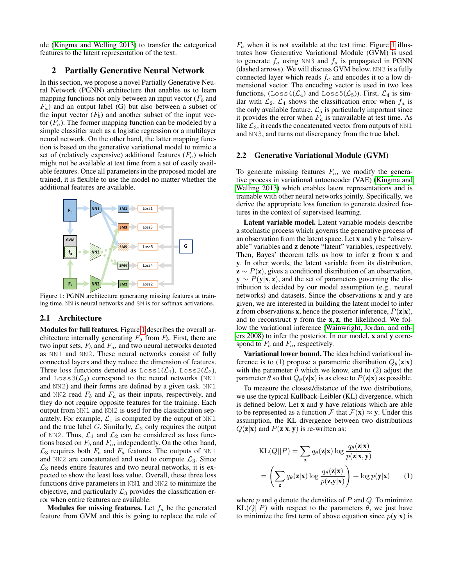<span id="page-2-3"></span>ule [\(Kingma and Welling 2013\)](#page-6-24) to transfer the categorical features to the latent representation of the text.

## <span id="page-2-2"></span>2 Partially Generative Neural Network

In this section, we propose a novel Partially Generative Neural Network (PGNN) architecture that enables us to learn mapping functions not only between an input vector  $(F_b$  and  $F_a$ ) and an output label (G) but also between a subset of the input vector  $(F_b)$  and another subset of the input vector  $(F_a)$ . The former mapping function can be modeled by a simple classifier such as a logistic regression or a multilayer neural network. On the other hand, the latter mapping function is based on the generative variational model to mimic a set of (relatively expensive) additional features  $(F_a)$  which might not be available at test time from a set of easily available features. Once all parameters in the proposed model are trained, it is flexible to use the model no matter whether the additional features are available.

<span id="page-2-0"></span>

Figure 1: PGNN architecture generating missing features at training time. NN is neural networks and SM is for softmax activations.

### 2.1 Architecture

Modules for full features. Figure [1](#page-2-0) describes the overall architecture internally generating  $F_a$  from  $F_b$ . First, there are two input sets,  $F_b$  and  $F_a$ , and two neural networks denoted as NN1 and NN2. These neural networks consist of fully connected layers and they reduce the dimension of features. Three loss functions denoted as  $Loss1(\mathcal{L}_1)$ ,  $Loss2(\mathcal{L}_2)$ , and  $Loss3(\mathcal{L}_3)$  correspond to the neural networks (NN1 and NN2) and their forms are defined by a given task. NN1 and NN2 read  $F_b$  and  $F_a$  as their inputs, respectively, and they do not require opposite features for the training. Each output from NN1 and NN2 is used for the classification separately. For example,  $\mathcal{L}_1$  is computed by the output of NN1 and the true label G. Similarly,  $\mathcal{L}_2$  only requires the output of NN2. Thus,  $\mathcal{L}_1$  and  $\mathcal{L}_2$  can be considered as loss functions based on  $F_b$  and  $F_a$ , independently. On the other hand,  $\mathcal{L}_3$  requires both  $F_b$  and  $F_a$  features. The outputs of NN1 and NN2 are concatenated and used to compute  $\mathcal{L}_3$ . Since  $\mathcal{L}_3$  needs entire features and two neural networks, it is expected to show the least loss value. Overall, these three loss functions drive parameters in NN1 and NN2 to minimize the objective, and particularly  $\mathcal{L}_3$  provides the classification error when entire features are available.

**Modules for missing features.** Let  $f_a$  be the generated feature from GVM and this is going to replace the role of

 $F_a$  when it is not available at the test time. Figure [1](#page-2-0) illustrates how Generative Variational Module (GVM) is used to generate  $f_a$  using NN3 and  $f_a$  is propagated in PGNN (dashed arrows). We will discuss GVM below. NN3 is a fully connected layer which reads  $f_a$  and encodes it to a low dimensional vector. The encoding vector is used in two loss functions,  $(L \circ s \circ 4(\mathcal{L}_4)$  and  $L \circ s \circ 5(\mathcal{L}_5)$ . First,  $\mathcal{L}_4$  is similar with  $\mathcal{L}_2$ .  $\mathcal{L}_4$  shows the classification error when  $f_a$  is the only available feature.  $\mathcal{L}_5$  is particularly important since it provides the error when  $F_a$  is unavailable at test time. As like  $\mathcal{L}_3$ , it reads the concatenated vector from outputs of NN1 and NN3, and turns out discrepancy from the true label.

#### 2.2 Generative Variational Module (GVM)

To generate missing features  $F_a$ , we modify the generative process in variational autoencoder (VAE) [\(Kingma and](#page-6-24) [Welling 2013\)](#page-6-24) which enables latent representations and is trainable with other neural networks jointly. Specifically, we derive the appropriate loss function to generate desired features in the context of supervised learning.

Latent variable model. Latent variable models describe a stochastic process which governs the generative process of an observation from the latent space. Let x and y be "observable" variables and z denote "latent" variables, respectively. Then, Bayes' theorem tells us how to infer z from x and y. In other words, the latent variable from its distribution,  $\mathbf{z} \sim P(\mathbf{z})$ , gives a conditional distribution of an observation,  $y \sim P(y|x, z)$ , and the set of parameters governing the distribution is decided by our model assumption (e.g., neural networks) and datasets. Since the observations x and y are given, we are interested in building the latent model to infer **z** from observations **x**, hence the posterior inference,  $P(\mathbf{z}|\mathbf{x})$ , and to reconstruct y from the x, z, the likelihood. We follow the variational inference [\(Wainwright, Jordan, and oth](#page-6-25)[ers 2008\)](#page-6-25) to infer the posterior. In our model, x and y correspond to  $F_b$  and  $F_a$ , respectively.

Variational lower bound. The idea behind variational inference is to (1) propose a parametric distribution  $Q_{\theta}(\mathbf{z}|\mathbf{x})$ with the parameter  $\theta$  which we know, and to (2) adjust the parameter  $\theta$  so that  $Q_{\theta}(\mathbf{z}|\mathbf{x})$  is as close to  $P(\mathbf{z}|\mathbf{x})$  as possible.

To measure the closest/distance of the two distributions, we use the typical Kullback-Leibler (KL) divergence, which is defined below. Let x and y have relations which are able to be represented as a function F that  $\mathcal{F}(\mathbf{x}) \approx \mathbf{y}$ . Under this assumption, the KL divergence between two distributions  $Q(\mathbf{z}|\mathbf{x})$  and  $P(\mathbf{z}|\mathbf{x}, \mathbf{y})$  is re-written as:

<span id="page-2-1"></span>
$$
KL(Q||P) = \sum_{\mathbf{z}} q_{\theta}(\mathbf{z}|\mathbf{x}) \log \frac{q_{\theta}(\mathbf{z}|\mathbf{x})}{p(\mathbf{z}|\mathbf{x}, \mathbf{y})}
$$

$$
= \left(\sum_{\mathbf{z}} q_{\theta}(\mathbf{z}|\mathbf{x}) \log \frac{q_{\theta}(\mathbf{z}|\mathbf{x})}{p(\mathbf{z}, \mathbf{y}|\mathbf{x})}\right) + \log p(\mathbf{y}|\mathbf{x}) \qquad (1)
$$

where  $p$  and  $q$  denote the densities of  $P$  and  $Q$ . To minimize  $KL(Q||P)$  with respect to the parameters  $\theta$ , we just have to minimize the first term of above equation since  $p(y|x)$  is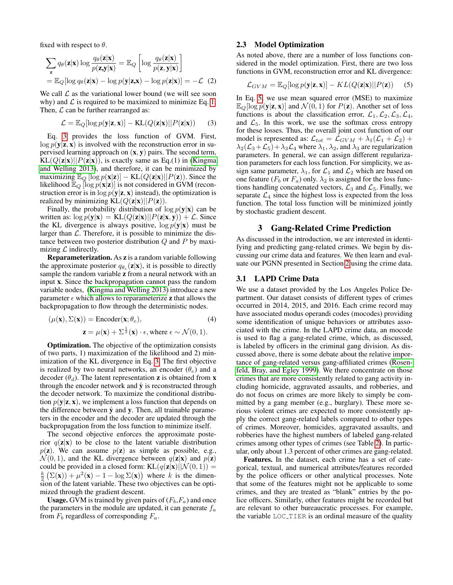fixed with respect to  $\theta$ .

<span id="page-3-4"></span>
$$
\sum_{\mathbf{z}} q_{\theta}(\mathbf{z}|\mathbf{x}) \log \frac{q_{\theta}(\mathbf{z}|\mathbf{x})}{p(\mathbf{z}, \mathbf{y}|\mathbf{x})} = \mathbb{E}_{Q} \left[ \log \frac{q_{\theta}(\mathbf{z}|\mathbf{x})}{p(\mathbf{z}, \mathbf{y}|\mathbf{x})} \right]
$$

$$
= \mathbb{E}_{Q} [\log q_{\theta}(\mathbf{z}|\mathbf{x}) - \log p(\mathbf{y}|\mathbf{z}, \mathbf{x}) - \log p(\mathbf{z}|\mathbf{x})] = -\mathcal{L} \quad (2)
$$

We call  $\mathcal L$  as the variational lower bound (we will see soon why) and  $\mathcal L$  is required to be maximized to minimize Eq. [1.](#page-2-1) Then,  $\mathcal L$  can be further rearranged as:

$$
\mathcal{L} = \mathbb{E}_Q[\log p(\mathbf{y}|\mathbf{z}, \mathbf{x})] - \text{KL}(Q(\mathbf{z}|\mathbf{x})||P(\mathbf{z}|\mathbf{x})) \qquad (3)
$$

Eq. [3](#page-3-0) provides the loss function of GVM. First,  $\log p(\mathbf{y}|\mathbf{z}, \mathbf{x})$  is involved with the reconstruction error in supervised learning approach on  $(x, y)$  pairs. The second term,  $KL(Q(z|x)||P(z|x))$ , is exactly same as Eq.(1) in [\(Kingma](#page-6-24) [and Welling 2013\)](#page-6-24), and therefore, it can be minimized by maximizing  $\mathbb{E}_{Q} [\log p(\mathbf{x}|\mathbf{z})] - \text{KL}(Q(\mathbf{z}|\mathbf{x})||P(\mathbf{z}))$ . Since the likelihood  $\mathbb{E}_{Q}$  [log  $p(\mathbf{x}|\mathbf{z})$ ] is not considered in GVM (reconstruction error is in  $\log p(\mathbf{y}|\mathbf{z}, \mathbf{x})$  instead), the optimization is realized by minimizing  $KL(Q(z|x)||P(z))$ .

Finally, the probability distribution of  $\log p(y|x)$  can be written as:  $\log p(\mathbf{y}|\mathbf{x}) = \text{KL}(Q(\mathbf{z}|\mathbf{x})||P(\mathbf{z}|\mathbf{x}, \mathbf{y})) + \mathcal{L}$ . Since the KL divergence is always positive,  $\log p(y|x)$  must be larger than  $\mathcal{L}$ . Therefore, it is possible to minimize the distance between two posterior distribution Q and P by maximizing  $\mathcal L$  indirectly.

Reparameterization. As z is a random variable following the approximate posterior  $q_{\theta_e}(\mathbf{z}|\mathbf{x})$ , it is possible to directly sample the random variable z from a neural network with an input x. Since the backpropagation cannot pass the random variable nodes, [\(Kingma and Welling 2013\)](#page-6-24) introduce a new parameter  $\epsilon$  which allows to reparameterize **z** that allows the backpropagation to flow through the deterministic nodes.

$$
(\mu(\mathbf{x}), \Sigma(\mathbf{x})) = \text{Encoder}(\mathbf{x}; \theta_e),
$$
  

$$
\mathbf{z} = \mu(\mathbf{x}) + \Sigma^{\frac{1}{2}}(\mathbf{x}) \cdot \epsilon, \text{ where } \epsilon \sim \mathcal{N}(0, 1).
$$
 (4)

Optimization. The objective of the optimization consists of two parts, 1) maximization of the likelihood and 2) minimization of the KL divergence in Eq. [3.](#page-3-0) The first objective is realized by two neural networks, an encoder  $(\theta_e)$  and a decoder  $(\theta_d)$ . The latent representation **z** is obtained from **x** through the encoder network and  $\hat{y}$  is reconstructed through the decoder network. To maximize the conditional distribution  $p(y|z, x)$ , we implement a loss function that depends on the difference between  $\hat{y}$  and  $y$ . Then, all trainable parameters in the encoder and the decoder are updated through the backpropagation from the loss function to minimize itself.

The second objective enforces the approximate posterior  $q(\mathbf{z}|\mathbf{x})$  to be close to the latent variable distribution  $p(\mathbf{z})$ . We can assume  $p(\mathbf{z})$  as simple as possible, e.g.,  $\mathcal{N}(0, 1)$ , and the KL divergence between  $q(\mathbf{z}|\mathbf{x})$  and  $p(\mathbf{z})$ could be provided in a closed form:  $KL(q(z|x)||\mathcal{N}(0, 1)) =$  $\frac{k}{2} (\Sigma(\mathbf{x})) + \mu^2(\mathbf{x}) - 1 - \log \Sigma(\mathbf{x})$  where k is the dimension of the latent variable. These two objectives can be optimized through the gradient descent.

**Usage.** GVM is trained by given pairs of  $(F_b, F_a)$  and once the parameters in the module are updated, it can generate  $f_a$ from  $F_b$  regardless of corresponding  $F_a$ .

## 2.3 Model Optimization

As noted above, there are a number of loss functions considered in the model optimization. First, there are two loss functions in GVM, reconstruction error and KL divergence:

<span id="page-3-1"></span>
$$
\mathcal{L}_{GVM} = \mathbb{E}_{Q}[\log p(\mathbf{y}|\mathbf{z}, \mathbf{x})] - KL(Q(\mathbf{z}|\mathbf{x})||P(\mathbf{z})) \quad (5)
$$

<span id="page-3-0"></span>In Eq. [5,](#page-3-1) we use mean squared error (MSE) to maximize  $\mathbb{E}_{Q}[\log p(\mathbf{y}|\mathbf{z}, \mathbf{x})]$  and  $\mathcal{N}(0, 1)$  for  $P(\mathbf{z})$ . Another set of loss functions is about the classification error,  $\mathcal{L}_1, \mathcal{L}_2, \mathcal{L}_3, \mathcal{L}_4$ , and  $\mathcal{L}_5$ . In this work, we use the softmax cross entropy for these losses. Thus, the overall joint cost function of our model is represented as:  $\mathcal{L}_{tot} = \mathcal{L}_{GVM} + \lambda_1(\mathcal{L}_1 + \mathcal{L}_2) +$  $\lambda_2(\mathcal{L}_3+\mathcal{L}_5)+\lambda_3\mathcal{L}_4$  where  $\lambda_1, \lambda_2$ , and  $\lambda_3$  are regularization parameters. In general, we can assign different regularization parameters for each loss function. For simplicity, we assign same parameter,  $\lambda_1$ , for  $\mathcal{L}_1$  and  $\mathcal{L}_2$  which are based on one feature ( $F_b$  or  $F_a$ ) only.  $\lambda_2$  is assigned for the loss functions handling concatenated vectors,  $\mathcal{L}_3$  and  $\mathcal{L}_5$ . Finally, we separate  $\mathcal{L}_4$  since the highest loss is expected from the loss function. The total loss function will be minimized jointly by stochastic gradient descent.

#### 3 Gang-Related Crime Prediction

<span id="page-3-3"></span>As discussed in the introduction, we are interested in identifying and predicting gang-related crimes. We begin by discussing our crime data and features. We then learn and evaluate our PGNN presented in Section [2](#page-2-2) using the crime data.

#### 3.1 LAPD Crime Data

<span id="page-3-2"></span>We use a dataset provided by the Los Angeles Police Department. Our dataset consists of different types of crimes occurred in 2014, 2015, and 2016. Each crime record may have associated modus operandi codes (mocodes) providing some identification of unique behaviors or attributes associated with the crime. In the LAPD crime data, an mocode is used to flag a gang-related crime, which, as discussed, is labeled by officers in the criminal gang division. As discussed above, there is some debate about the relative importance of gang-related versus gang-affiliated crimes [\(Rosen](#page-6-12)[feld, Bray, and Egley 1999\)](#page-6-12). We there concentrate on those crimes that are more consistently related to gang activity including homicide, aggravated assaults, and robberies, and do not focus on crimes are more likely to simply be committed by a gang member (e.g., burglary). These more serious violent crimes are expected to more consistently apply the correct gang-related labels compared to other types of crimes. Moreover, homicides, aggravated assaults, and robberies have the highest numbers of labeled gang-related crimes among other types of crimes (see Table [2\)](#page-4-1). In particular, only about 1.3 percent of other crimes are gang-related.

Features. In the dataset, each crime has a set of categorical, textual, and numerical attributes/features recorded by the police officers or other analytical processes. Note that some of the features might not be applicable to some crimes, and they are treated as "blank" entries by the police officers. Similarly, other features might be recorded but are relevant to other bureaucratic processes. For example, the variable LOC TIER is an ordinal measure of the quality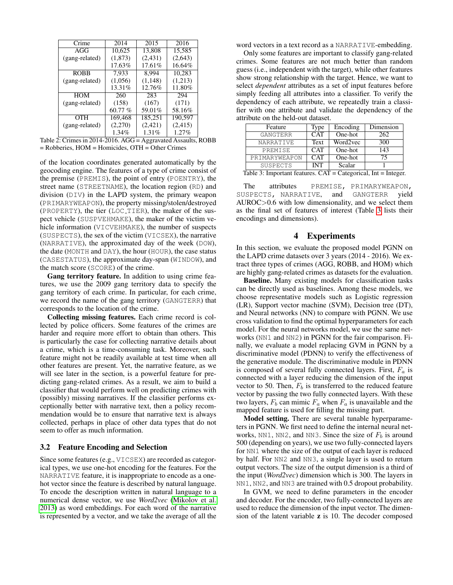<span id="page-4-3"></span><span id="page-4-1"></span>

| Crime          | 2014      | 2015     | 2016    |  |
|----------------|-----------|----------|---------|--|
| AGG            | 10,625    | 13,808   | 15,585  |  |
| (gang-related) | (1, 873)  | (2, 431) | (2,643) |  |
|                | 17.63%    | 17.61%   | 16.64%  |  |
| <b>ROBB</b>    | 7,933     | 8.994    | 10,283  |  |
| (gang-related) | (1,056)   | (1, 148) | (1,213) |  |
|                | 13.31%    | 12.76%   | 11.80%  |  |
| <b>HOM</b>     | 260       | 283      | 294     |  |
| (gang-related) | (158)     | (167)    | (171)   |  |
|                | $60.77\%$ | 59.01%   | 58.16%  |  |
| OTH            | 169,468   | 185,251  | 190,597 |  |
| (gang-related) | (2,270)   | (2,421)  | (2,415) |  |
|                | $1.34\%$  | 1.31%    | 1.27%   |  |
|                |           |          |         |  |

Table 2: Crimes in 2014-2016. AGG = Aggravated Assaults, ROBB = Robberies, HOM = Homicides, OTH = Other Crimes

of the location coordinates generated automatically by the geocoding engine. The features of a type of crime consist of the premise (PREMIS), the point of entry (POENTRY), the street name (STREETNAME), the location region (RD) and division (DIV) in the LAPD system, the primary weapon (PRIMARYWEAPON), the property missing/stolen/destroyed (PROPERTY), the tier (LOC TIER), the maker of the suspect vehicle (SUSPVEHMAKE), the maker of the victim vehicle information (VICVEHMAKE), the number of suspects (SUSPECTS), the sex of the victim (VICSEX), the narrative (NARRATIVE), the approximated day of the week (DOW), the date (MONTH and DAY), the hour (HOUR), the case status (CASESTATUS), the approximate day-span (WINDOW), and the match score (SCORE) of the crime.

Gang territory feature. In addition to using crime features, we use the 2009 gang territory data to specify the gang territory of each crime. In particular, for each crime, we record the name of the gang territory (GANGTERR) that corresponds to the location of the crime.

Collecting missing features. Each crime record is collected by police officers. Some features of the crimes are harder and require more effort to obtain than others. This is particularly the case for collecting narrative details about a crime, which is a time-consuming task. Moreover, such feature might not be readily available at test time when all other features are present. Yet, the narrative feature, as we will see later in the section, is a powerful feature for predicting gang-related crimes. As a result, we aim to build a classifier that would perform well on predicting crimes with (possibly) missing narratives. If the classifier performs exceptionally better with narrative text, then a policy recommendation would be to ensure that narrative text is always collected, perhaps in place of other data types that do not seem to offer as much information.

## 3.2 Feature Encoding and Selection

Since some features (e.g., VICSEX) are recorded as categorical types, we use one-hot encoding for the features. For the NARRATIVE feature, it is inappropriate to encode as a onehot vector since the feature is described by natural language. To encode the description written in natural language to a numerical dense vector, we use *Word2vec* [\(Mikolov et al.](#page-6-26) [2013\)](#page-6-26) as word embeddings. For each word of the narrative is represented by a vector, and we take the average of all the

word vectors in a text record as a NARRATIVE-embedding.

Only some features are important to classify gang-related crimes. Some features are not much better than random guess (i.e., independent with the target), while other features show strong relationship with the target. Hence, we want to select *dependent* attributes as a set of input features before simply feeding all attributes into a classifier. To verify the dependency of each attribute, we repeatedly train a classifier with one attribute and validate the dependency of the attribute on the held-out dataset.

<span id="page-4-2"></span>

| Feature          | Type        | Encoding | Dimension |
|------------------|-------------|----------|-----------|
| <b>GANGTERR</b>  | CAT         | One-hot  | 262       |
| <b>NARRATIVE</b> | <b>Text</b> | Word2vec | 300       |
| PREMISE          | CAT         | One-hot  | 143       |
| PRIMARYWEAPON    | CAT         | One-hot  | 75        |
| SUSPECTS         | <b>INT</b>  | Scalar   |           |

Table 3: Important features. CAT = Categorical, Int = Integer.

The attributes PREMISE, PRIMARYWEAPON, SUSPECTS, NARRATIVE, and GANGTERR yield AUROC>0.6 with low dimensionality, and we select them as the final set of features of interest (Table [3](#page-4-2) lists their encodings and dimensions).

# 4 Experiments

<span id="page-4-0"></span>In this section, we evaluate the proposed model PGNN on the LAPD crime datasets over 3 years (2014 - 2016). We extract three types of crimes (AGG, ROBB, and HOM) which are highly gang-related crimes as datasets for the evaluation.

Baseline. Many existing models for classification tasks can be directly used as baselines. Among these models, we choose representative models such as Logistic regression (LR), Support vector machine (SVM), Decision tree (DT), and Neural networks (NN) to compare with PGNN. We use cross validation to find the optimal hyperparameters for each model. For the neural networks model, we use the same networks (NN1 and NN2) in PGNN for the fair comparison. Finally, we evaluate a model replacing GVM in PGNN by a discriminative model (PDNN) to verify the effectiveness of the generative module. The discriminative module in PDNN is composed of several fully connected layers. First,  $F_a$  is connected with a layer reducing the dimension of the input vector to 50. Then,  $F_b$  is transferred to the reduced feature vector by passing the two fully connected layers. With these two layers,  $F_b$  can mimic  $F_a$  when  $F_a$  is unavailable and the mapped feature is used for filling the missing part.

Model setting. There are several tunable hyperparameters in PGNN. We first need to define the internal neural networks, NN1, NN2, and NN3. Since the size of  $F_b$  is around 500 (depending on years), we use two fully-connected layers for NN1 where the size of the output of each layer is reduced by half. For NN2 and NN3, a single layer is used to return output vectors. The size of the output dimension is a third of the input (*Word2vec*) dimension which is 300. The layers in NN1, NN2, and NN3 are trained with 0.5 dropout probability.

In GVM, we need to define parameters in the encoder and decoder. For the encoder, two fully-connected layers are used to reduce the dimension of the input vector. The dimension of the latent variable z is 10. The decoder composed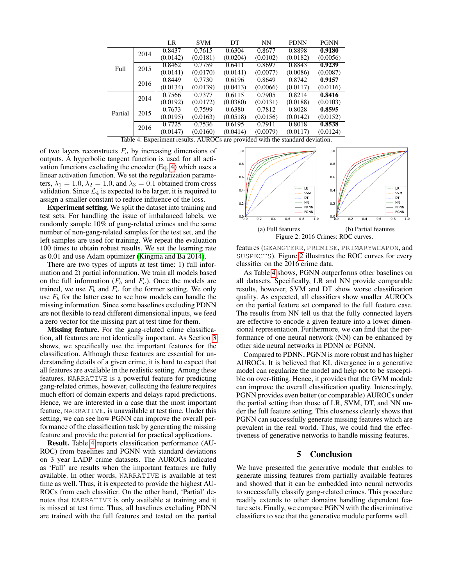<span id="page-5-2"></span><span id="page-5-0"></span>

|         |                                                                               | LR       | <b>SVM</b> | DТ       | <b>NN</b> | <b>PDNN</b> | <b>PGNN</b> |  |  |  |
|---------|-------------------------------------------------------------------------------|----------|------------|----------|-----------|-------------|-------------|--|--|--|
| Full    | 2014                                                                          | 0.8437   | 0.7615     | 0.6304   | 0.8677    | 0.8898      | 0.9180      |  |  |  |
|         |                                                                               | (0.0142) | (0.0181)   | (0.0204) | (0.0102)  | (0.0182)    | (0.0056)    |  |  |  |
|         | 2015                                                                          | 0.8462   | 0.7759     | 0.6411   | 0.8697    | 0.8843      | 0.9239      |  |  |  |
|         |                                                                               | (0.0141) | (0.0170)   | (0.0141) | (0.0077)  | (0.0086)    | (0.0087)    |  |  |  |
|         | 2016                                                                          | 0.8449   | 0.7730     | 0.6196   | 0.8649    | 0.8742      | 0.9157      |  |  |  |
|         |                                                                               | (0.0134) | (0.0139)   | (0.0413) | (0.0066)  | (0.0117)    | (0.0116)    |  |  |  |
| Partial | 2014                                                                          | 0.7566   | 0.7377     | 0.6115   | 0.7905    | 0.8214      | 0.8416      |  |  |  |
|         |                                                                               | (0.0192) | (0.0172)   | (0.0380) | (0.0131)  | (0.0188)    | (0.0103)    |  |  |  |
|         | 2015                                                                          | 0.7673   | 0.7599     | 0.6380   | 0.7812    | 0.8028      | 0.8595      |  |  |  |
|         |                                                                               | (0.0195) | (0.0163)   | (0.0518) | (0.0156)  | (0.0142)    | (0.0152)    |  |  |  |
|         | 2016                                                                          | 0.7725   | 0.7536     | 0.6195   | 0.7911    | 0.8018      | 0.8538      |  |  |  |
|         |                                                                               | (0.0147) | (0.0160)   | (0.0414) | (0.0079)  | (0.0117)    | (0.0124)    |  |  |  |
|         | Table 4: Experiment results. AUROCs are provided with the standard deviation. |          |            |          |           |             |             |  |  |  |

of two layers reconstructs  $F_a$  by increasing dimensions of outputs. A hyperbolic tangent function is used for all activation functions excluding the encoder (Eq. [4\)](#page-3-2) which uses a linear activation function. We set the regularization parameters,  $\lambda_1 = 1.0$ ,  $\lambda_2 = 1.0$ , and  $\lambda_3 = 0.1$  obtained from cross validation. Since  $\mathcal{L}_4$  is expected to be larger, it is required to

assign a smaller constant to reduce influence of the loss. Experiment setting. We split the dataset into training and test sets. For handling the issue of imbalanced labels, we randomly sample 10% of gang-related crimes and the same number of non-gang-related samples for the test set, and the left samples are used for training. We repeat the evaluation 100 times to obtain robust results. We set the learning rate

as 0.01 and use Adam optimizer [\(Kingma and Ba 2014\)](#page-6-27). There are two types of inputs at test time: 1) full information and 2) partial information. We train all models based on the full information  $(F_b \text{ and } F_a)$ . Once the models are trained, we use  $F_b$  and  $F_a$  for the former setting. We only use  $F_b$  for the latter case to see how models can handle the missing information. Since some baselines excluding PDNN are not flexible to read different dimensional inputs, we feed a zero vector for the missing part at test time for them.

Missing feature. For the gang-related crime classification, all features are not identically important. As Section [3](#page-3-3) shows, we specifically use the important features for the classification. Although these features are essential for understanding details of a given crime, it is hard to expect that all features are available in the realistic setting. Among these features, NARRATIVE is a powerful feature for predicting gang-related crimes, however, collecting the feature requires much effort of domain experts and delays rapid predictions. Hence, we are interested in a case that the most important feature, NARRATIVE, is unavailable at test time. Under this setting, we can see how PGNN can improve the overall performance of the classification task by generating the missing feature and provide the potential for practical applications.

Result. Table [4](#page-5-0) reports classification performance (AU-ROC) from baselines and PGNN with standard deviations on 3 year LADP crime datasets. The AUROCs indicated as 'Full' are results when the important features are fully available. In other words, NARRATIVE is available at test time as well. Thus, it is expected to provide the highest AU-ROCs from each classifier. On the other hand, 'Partial' denotes that NARRATIVE is only available at training and it is missed at test time. Thus, all baselines excluding PDNN are trained with the full features and tested on the partial

<span id="page-5-1"></span>

features (GEANGTERR, PREMISE, PRIMARYWEAPON, and SUSPECTS). Figure [2](#page-5-1) illustrates the ROC curves for every classifier on the 2016 crime data.

As Table [4](#page-5-0) shows, PGNN outperforms other baselines on all datasets. Specifically, LR and NN provide comparable results, however, SVM and DT show worse classification quality. As expected, all classifiers show smaller AUROCs on the partial feature set compared to the full feature case. The results from NN tell us that the fully connected layers are effective to encode a given feature into a lower dimensional representation. Furthermore, we can find that the performance of one neural network (NN) can be enhanced by other side neural networks in PDNN or PGNN.

Compared to PDNN, PGNN is more robust and has higher AUROCs. It is believed that KL divergence in a generative model can regularize the model and help not to be susceptible on over-fitting. Hence, it provides that the GVM module can improve the overall classification quality. Interestingly, PGNN provides even better (or comparable) AUROCs under the partial setting than those of LR, SVM, DT, and NN under the full feature setting. This closeness clearly shows that PGNN can successfully generate missing features which are prevalent in the real world. Thus, we could find the effectiveness of generative networks to handle missing features.

# 5 Conclusion

We have presented the generative module that enables to generate missing features from partially available features and showed that it can be embedded into neural networks to successfully classify gang-related crimes. This procedure readily extends to other domains handling dependent feature sets. Finally, we compare PGNN with the discriminative classifiers to see that the generative module performs well.